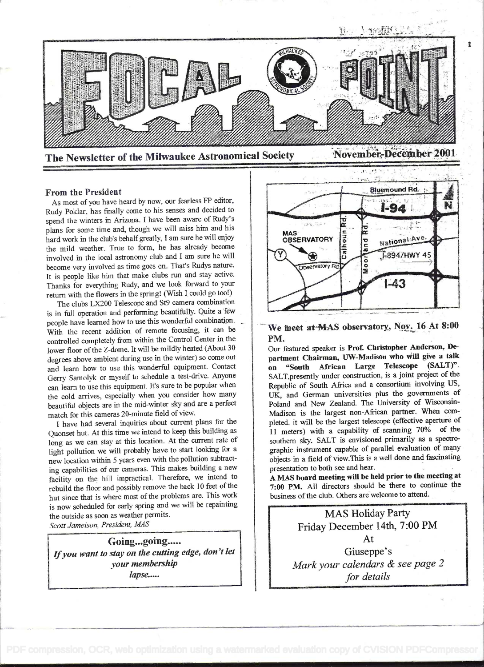

 $\blacksquare$ 

# From the President

As most of you have heard by now, our fearless FP editor, Rudy Pokiar, has finally come to his senses and decided to spend the winters in Arizona. I have been aware of Rudy's plans for some time and, though we will miss him and his hard work in the club's behalfgreatly, I am sure he will enjoy the mild weather. True to form, he has already become involved in the local astronomy club and I am sure he will become very involved as time goes on. That's Rudys nature. It is people like him that make clubs run and stay active. Thanks for everything Rudy, and we look forward to your return with the flowers in the spring! (Wish I could go too!)

The clubs LX200 Telescope and St9 camera combination is in full operation and performing beautifully. Quite a few people have learned how to use this wonderful combination. With the recent addition of remote focusing, it can be controlled completely from within the Control Center in the lower floor of the Z-dome. It will be mildly heated (About 30 degrees above ambient during use in the winter) so come out and learn how to use this wonderful equipment. Contact Gerry Samolyk or myself to schedule a test-drive. Anyone can learn to use this equipment. It's sure to be popular when the cold arrives, especially when you consider how many beautiful objects are in the mid-winter sky and are a perfect match for this cameras 20-minute field of view.

<sup>I</sup>have had several inquiries about current plans for the Quonset hut. At this time we intend to keep this building as long as we can stay at this location. At the current rate of light pollution we will probably have to start looking for <sup>a</sup> new location within 5 years even with the pollution subtracting capabilities of our cameras. This makes building a new facility on the hill impractical. Therefore, we intend to rebuild the floor and possibly remove the back 10 feet of the hut since that is where most of the problems are. This work is now scheduled for early spring and we will be repainting the outside as soon as weather permits.

Scott Jameison, President, MAS

Going...going..... If you want to stay on the cutting edge, don't let your membership lapse.....



# We meet at MAS observatory, Nov. 16 At 8:00 PM.

Our featured speaker is Prof. Christopher Anderson, Department Chairman, UW-Madison who will give a talk on "South African Large Telescope (SALT)". SALT,presently under construction, is a joint project of the Republic of South Africa and a consortium involving US, UK, and German universities plus the governments of Poland and New Zealand. The University of Wisconsin-Madison is the largest non-African partner. When completed. it will be the largest telescope (effective aperture of <sup>I</sup>i meters) with a capability of scanning 70% of the southern sky. SALT is envisioned primarily as a spectrographic instrument capable of parallel evaluation of many objects in a field of view.This is a well done and fascinating presentation to both see and hear.

<sup>A</sup>MAS board meeting will be held prior to the meeting at 7:00 PM. All directors should be there to continue the business of the club. Others are welcome to attend.

MAS Holiday Party Friday December 14th, 7:00 PM At Giuseppe's Mark your calendars & see page 2 for details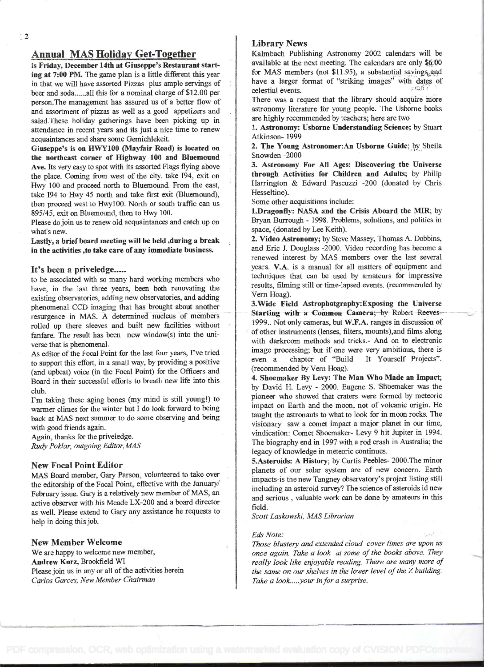# Annual MAS Holiday Get-Together

is Friday, December 14th at Giuseppe's Restaurant starting at 7:00 PM. The game plan is a little different this year in that we will have assorted Pizzas plus ample servings of beer and soda......all this for a nominal charge of \$12.00 per person.The management has assured us of a better flow of and assortment of pizzas as well as a good appetizers and salad. These holiday gatherings have been picking up in attendance in recent years and its just a nice time to renew acquaintances and share some Gemichiekeit.

Giuseppe's is on HWYIØO (Mayfair Road) is located on the northeast corner of Highway 100 and Bluemound Ave. Its very easy to spot with its assorted Flags flying above the place. Coming from west of the city. take I94, exit on Hwy 100 and proceed north to Bluemound. From the east, take I94 to Hwy 45 north and take first exit (Bluemound), then proceed west to HwylOO. North or south traffic can us 895/45, exit on Bluemound, then to Hwy 100.

Please dojoin us to renew old acquaintances and catch up on what's new.

Lastly, a brief beard meeting will be held ,during a break in the activities ,to take care of any immediate business.

## It's been a priveledge.....

to be associated with so many hard working members who have, in the last three years, been both renovating the existing observatories, adding new observatories, and adding phenomenal CCD imaging that has brought about another resurgence in MAS. A determined nucleus of members rolled up there sleeves and built new facilities without fanfare. The result has been new window(s) into the uni verse that is phenomenal.

As editor of the Focal Point for the last four years, I've tried to support this effort, in a small way, by providing a positive (and upbeat) voice (in the Focal Point) for the Officers and Board in their successful efforts to breath new life into this club.

I'm taking these aging bones (my mind is still young!) to warmer climes for the winter but I do look forward to being back at MAS next summer to do some observing and being with good friends again.

Again, thanks for the priveledge. Rudy Poklar, outgoing Editor, MAS

#### New Focal Point Editor

MAS Board member, Gary Parson, volunteered to take over the editorship of the Focal Point, effective with the January/ February issue. Gary is a relatively new member of MAS, an active observer with his Meade LX-200 and a board director as well. Please extend to Gary any assistance he requests to help in doing this job.

#### New Member Welcome

We are happy to welcome new member, Andrew Kurz, Brookfield WI Please join us in any or all of the activities herein Carlos Garces, New Member Chairman

# Library News

Kaimbach Publishing Astronomy 2002 calendars will be available at the next meeting. The calendars are only \$4.00 for MAS members (not  $$11.95$ ), a substantial savings and have a larger format of "striking images" with dates of colorial avenue celestial events.

There was a request that the library should acqúire more astronomy literature for young people. The Usborne books are highly recommended by teachers; here are two

1. Astronomy: Usborne Understanding Science; by Stuart Atkinson- 1999

2. The Young Astronomer:An Usborne Guide; by Sheila Snowden -2000

3. Astronomy For All Ages: Discovering the Universe through Activities for Children and Adults; by Philip Harrington & Edward Pascuzzi -200 (donated by Chris Hesseltine).

Some other acquisitions include:

1.Dragonfly: NASA and the Crisis Aboard the MIR; by Bryan Burrough - 1998. Problems, solutions, and politics in space, (donated by Lee Keith).

2. Video Astronomy; by Steve Massey, Thomas A. Dobbins, and Eric J. Douglass -2000. Video recording has become a renewed interest by MAS members over the last several years. V.A. is a manual for all matters of equipment and techniques that can be used by amateurs for impressive results, filming still or time-lapsed events. (recommended by Vern Hoag).

3.Wide Field Astrophotgraphy:Exposing the Universe Starting with a Common Camera; by Robert Reeves-1999.. Not only cameras, but W.F.A. ranges in discussion of of other instruments (lenses, filters, mounts),and films along with darkroom methods and tricks.- And on to electronic image processing; but if one were very ambitious, there is even a chapter of "Build It Yourself Projects". (recommended by Vem Hoag).

4. Shoemaker By Levy: The Man Who Made an Impact; by David H. Levy - 2000. Eugene S. Shoemaker was the pioneer who showed that craters were formed by meteoric impact on Earth and the moon, not of volcanic origin. He taught the astronauts to what to look for in moon rocks. The visionary saw a comet impact a major planet in our time, vindication: Comet Shoemaker- Levy 9 hit Jupiter in 1994. The biography end in 1997 with a rod crash in Australia; the legacy of knowledge in meteoric continues.

5.Asteroids: A History; by Curtis Peebles- 2000.The minor planets of our solar system are of new concern. Earth impacts-is the new Tangney observatory's project listing still including an asteroid survey? The science of asteroids id new and serious , valuable work can be done by amateurs in this field.

Scott Laskowski, MAS Librarian

#### Eds Note:

Those blustery and extended cloud cover times are upon us once again. Take a look at some of the books above. They really look like enjoyable reading. There are many more of the same on our shelves in the lower level of the Z building. Take a look.....your in for a surprise.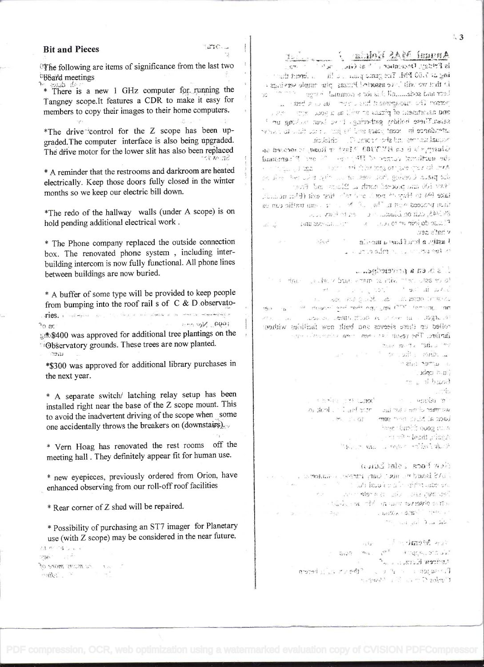$\ddot{\phantom{1}3}$ 

# Annan MAS Enlais J Lander

,J y;fi. Ji .; ;fl :1T .b'F'i . is that we will be assorted Puzzas pin ample services . : .. ...... .. ind a new out and homeses of more and anywhere of pixes or  $v$ ) as a sex.  $x$  is  $v = v$ salan. These holiday gathering, it we have bucking up  $^{\circ}$ steadarce in reart wars and let be a state theor in equation modelno Planche odzien een andaubr

Sharpy than HUTTHE? Chavi who have a seed on  $\mu$  is the set of  $\sim$  . The control of  $\mu$  $\epsilon \geq 0$  . The second with  $\epsilon \sim 1$  respectively. The second is  $\epsilon$ .! ........ ; ......... -. ive ide an abscheduse in the far take (94 to Hwy 14 per 1 and and then exit (Phin month). in the proceed with  $L^{\infty}$  ,  $\mathbb{R}^n$  .  $\mathbb{R}^n$  . The interference is expansion to ,...,' . .1 30

 $\limsup_{n\to\infty}$  in the touch  $\limsup_{n\to\infty}$  is given the set of e:

Massers all more assembland a spitzle b .. . .f\_ ,. .. : ;

# . Scheiden a nachstelle

. : The state of the state of the state of الْمَاسِمِ الْعَمَاسُ الْمَرْكَ الْمَرْكَ إِنْ يَا إِنَّ أَنْ الْمَرْكَ الْمَرْكَ ال . . ¡:.1 :: :' . ... , -, -, , thence and each age and providence an  $\mathcal{C}(\mathcal{C})$  .

...... : .. tL  $22.1$  $-741$ modiw seidiost wen flied one zoveels stadt as belief faniso. The result is need the computation

mar made the side and  $\frac{1}{\sqrt{2} \pi} \rightarrow 82$  $\sim$   $\approx$   $\sim$   $\sim$   $\sim$   $\sim$ . and the last  $X$  construction  $\approx$   $\neq$   $\frac{1}{2}$  b208  $\omega_{\rm max}$  . , ,...... .. .  $\sim 10^{-2}$  . ni den Jesus uni ette manister i lede o

. ... :1' -)J :f: :)o2 ':.  $\frac{1}{2}$ . , ... , ... , ... , ... , ... , ... , ... , ... , ... , ... , ... , ... , ... , ... , ... , ... , ... , ... , ... , ... , ... , ... , ... , ... , ... , ... , ... , ... , ... , ... , ... , ... , ... , ... , ...  $\mathcal{L}_{\mathcal{M}}(x,y) = \mathcal{L}_{\mathcal{M}}(x,y) = \mathcal{L}_{\mathcal{M}}(x,y) + \mathcal{L}_{\mathcal{M}}(x,y) + \mathcal{L}_{\mathcal{M}}(x,y) + \mathcal{L}_{\mathcal{M}}(x,y) + \mathcal{L}_{\mathcal{M}}(x,y)$ 

## would have soof how

.. .'r . ., . ç- r. ;; .. . . \_i ic....J\_ .r5..:;: . ... !.- r; .. . .' r::,IrÑ) <sup>T</sup>.- . :' not and all love few

# $\mathbb{E}\left\{\mathbb{E}\left\{\mathbb{E}\left[\mathbb{E}\left[\mathbb{E}\left[\mathbb{E}\left[\mathbb{E}\left[\mathbb{E}\left[\mathbb{E}\left[\mathbb{E}\left[\mathbb{E}\left[\mathbb{E}\left[\mathbb{E}\left[\mathbb{E}\left[\mathbb{E}\left[\mathbb{E}\left[\mathbb{E}\left[\mathbb{E}\left[\mathbb{E}\left[\mathbb{E}\left[\mathbb{E}\left[\mathbb{E}\left[\mathbb{E}\left[\mathbb{E}\left[\mathbb{E}\left[\mathbb{E}\left[\mathbb{E}\left[\mathbb{E}\left[\mathbb{E}\left[\mathbb{E}\left[\mathbb{E}\left[\$ ........ -ir; moned if it are off a similar and  $\mathcal{L} = \{ \mathcal{L} \in \mathcal{L} \mid \mathcal{L} \in \mathcal{L} \mid \mathcal{L} \in \mathcal{L} \text{ and } \mathcal{L} \in \mathcal{L} \}$

TETO...

# Bit and Pieces

 $\zeta_{\mathcal{F}}$ 

The following are items of significance from the last two <sup>0</sup>B&ard meetings

 $*$  There is a new 1 GHz computer for running the Tangney scope.It features a CDR to make it easy for members to copy their images to their home computers.

\*The drive control for the Z scope has been upgraded.The computer interface is also being upgraded. The drive motor for the lower slit has also been replaced  $\mathcal{L}$  is the  $\mathcal{R}$ 

\* A reminder that the restrooms and darkroom are heated electrically. Keep those doors fully closed in the winter months so we keep our electric bill down.

\*The redo of the hallway walls (under A scope) is on hold pending additional electrical work.

\* The Phone company replaced the outside connection box. The renovated phone system , including interbuilding intercom is now filly functional. All phone lines between buildings are now buried.

\* A buffer of some type will be provided to keep people from bumping into the roof rail s of C & D observato-A buffer of some type will be provided that<br>from bumping into the roof rail s of C &<br>ries.

sext \$400 was approved for additional tree plantings on the ... Observatory grounds. These trees are now planted.

\*\$300 was approved for additional library purchases in the next year.

\* A separate switch/ latching relay setup has been installed right near the base of the Z scope mount. This to avoid the inadvertent driving of the scope when some one accidentally throws the breakers on (downstairs).

\* Vern Hoag has renovated the rest rooms off the meeting hall . They definitely appear fit for human use.

\* new eyepieces, previously ordered from Orion, have enhanced observing from our roll-off roof facilities

\* Rear corner of Z shed will be repaired.

\* Possibility of purchasing an ST7 imager for Planetary use (with Z scope) may be considered in the near future.

推動の作品をす  $\mathbb{E}\mathbb{B}^{n}=\mathbb{E}\mathbb{E}^{n}$ at the mean more of  $\sim$  . Telling  $\sim -e$